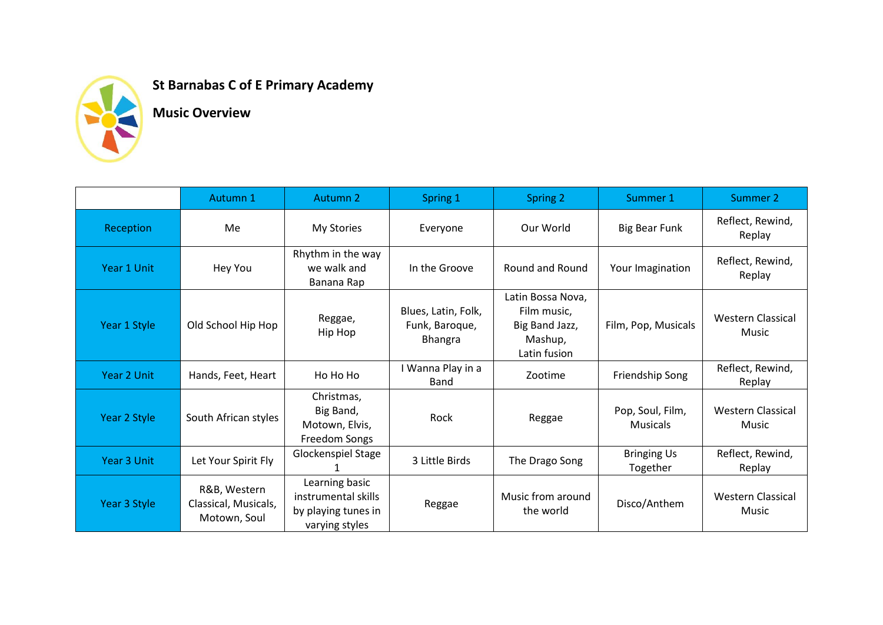

## **St Barnabas C of E Primary Academy**

**Music Overview**

|              | Autumn 1                                             | Autumn 2                                                                       | Spring 1                                         | Spring 2                                                                      | Summer 1                            | Summer 2                          |
|--------------|------------------------------------------------------|--------------------------------------------------------------------------------|--------------------------------------------------|-------------------------------------------------------------------------------|-------------------------------------|-----------------------------------|
| Reception    | Me                                                   | My Stories                                                                     | Everyone                                         | Our World                                                                     | <b>Big Bear Funk</b>                | Reflect, Rewind,<br>Replay        |
| Year 1 Unit  | Hey You                                              | Rhythm in the way<br>we walk and<br>Banana Rap                                 | In the Groove                                    | Round and Round                                                               | Your Imagination                    | Reflect, Rewind,<br>Replay        |
| Year 1 Style | Old School Hip Hop                                   | Reggae,<br>Hip Hop                                                             | Blues, Latin, Folk,<br>Funk, Baroque,<br>Bhangra | Latin Bossa Nova,<br>Film music,<br>Big Band Jazz,<br>Mashup,<br>Latin fusion | Film, Pop, Musicals                 | <b>Western Classical</b><br>Music |
| Year 2 Unit  | Hands, Feet, Heart                                   | Ho Ho Ho                                                                       | I Wanna Play in a<br>Band                        | Zootime                                                                       | Friendship Song                     | Reflect, Rewind,<br>Replay        |
| Year 2 Style | South African styles                                 | Christmas,<br>Big Band,<br>Motown, Elvis,<br>Freedom Songs                     | Rock                                             | Reggae                                                                        | Pop, Soul, Film,<br><b>Musicals</b> | <b>Western Classical</b><br>Music |
| Year 3 Unit  | Let Your Spirit Fly                                  | Glockenspiel Stage                                                             | 3 Little Birds                                   | The Drago Song                                                                | <b>Bringing Us</b><br>Together      | Reflect, Rewind,<br>Replay        |
| Year 3 Style | R&B, Western<br>Classical, Musicals,<br>Motown, Soul | Learning basic<br>instrumental skills<br>by playing tunes in<br>varying styles | Reggae                                           | Music from around<br>the world                                                | Disco/Anthem                        | <b>Western Classical</b><br>Music |